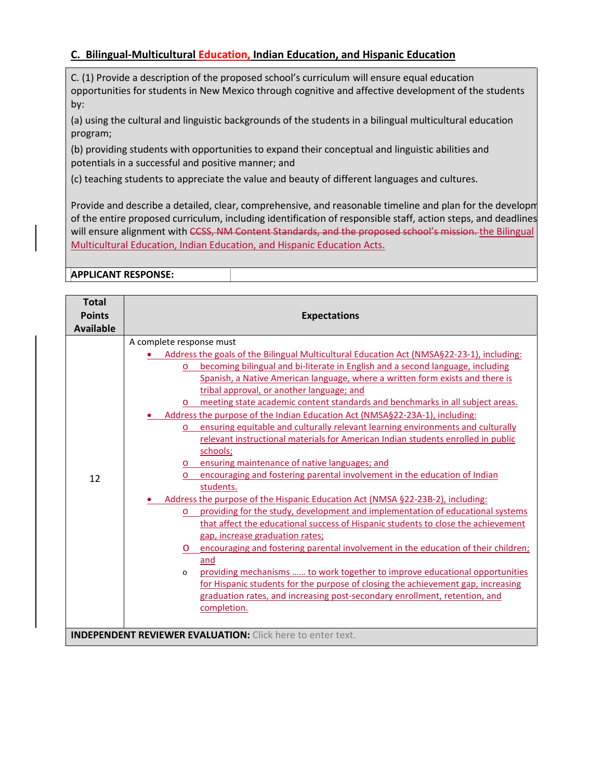## **C. Bilingual-Multicultural Education, Indian Education, and Hispanic Education**

C. (1) Provide a description of the proposed school's curriculum will ensure equal education opportunities for students in New Mexico through cognitive and affective development of the students by:

(a) using the cultural and linguistic backgrounds of the students in a bilingual multicultural education program;

(b) providing students with opportunities to expand their conceptual and linguistic abilities and potentials in a successful and positive manner; and

(c) teaching students to appreciate the value and beauty of different languages and cultures.

Provide and describe a detailed, clear, comprehensive, and reasonable timeline and plan for the developm of the entire proposed curriculum, including identification of responsible staff, action steps, and deadlines will ensure alignment with CCSS, NM Content Standards, and the proposed school's mission. the Bilingual Multicultural Education, Indian Education, and Hispanic Education Acts.

**APPLICANT RESPONSE:** 

| <b>Total</b><br><b>Points</b> | <b>Expectations</b>                                                                                                                                                                                                                                                                                                                                                                                                                                                                                                                                                                                                                                                                                                                                                                                                                                                                                                                                                                                                                                                                                                                                                                                                                                                      |  |  |
|-------------------------------|--------------------------------------------------------------------------------------------------------------------------------------------------------------------------------------------------------------------------------------------------------------------------------------------------------------------------------------------------------------------------------------------------------------------------------------------------------------------------------------------------------------------------------------------------------------------------------------------------------------------------------------------------------------------------------------------------------------------------------------------------------------------------------------------------------------------------------------------------------------------------------------------------------------------------------------------------------------------------------------------------------------------------------------------------------------------------------------------------------------------------------------------------------------------------------------------------------------------------------------------------------------------------|--|--|
|                               |                                                                                                                                                                                                                                                                                                                                                                                                                                                                                                                                                                                                                                                                                                                                                                                                                                                                                                                                                                                                                                                                                                                                                                                                                                                                          |  |  |
| <b>Available</b><br>12        | A complete response must<br>• Address the goals of the Bilingual Multicultural Education Act (NMSA§22-23-1), including:<br>becoming bilingual and bi-literate in English and a second language, including<br>$\circ$<br>Spanish, a Native American language, where a written form exists and there is<br>tribal approval, or another language; and<br>meeting state academic content standards and benchmarks in all subject areas.<br>Address the purpose of the Indian Education Act (NMSA§22-23A-1), including:<br>ensuring equitable and culturally relevant learning environments and culturally<br>$\circ$<br>relevant instructional materials for American Indian students enrolled in public<br>schools;<br>ensuring maintenance of native languages; and<br>encouraging and fostering parental involvement in the education of Indian<br>$\circ$<br>students.<br>Address the purpose of the Hispanic Education Act (NMSA §22-23B-2), including:<br>providing for the study, development and implementation of educational systems<br>$\circ$<br>that affect the educational success of Hispanic students to close the achievement<br>gap, increase graduation rates;<br>encouraging and fostering parental involvement in the education of their children;<br>O |  |  |
|                               | and<br>providing mechanisms  to work together to improve educational opportunities<br>$\Omega$<br>for Hispanic students for the purpose of closing the achievement gap, increasing<br>graduation rates, and increasing post-secondary enrollment, retention, and<br>completion.                                                                                                                                                                                                                                                                                                                                                                                                                                                                                                                                                                                                                                                                                                                                                                                                                                                                                                                                                                                          |  |  |
|                               | <b>INDEPENDENT REVIEWER EVALUATION: Click here to enter text.</b>                                                                                                                                                                                                                                                                                                                                                                                                                                                                                                                                                                                                                                                                                                                                                                                                                                                                                                                                                                                                                                                                                                                                                                                                        |  |  |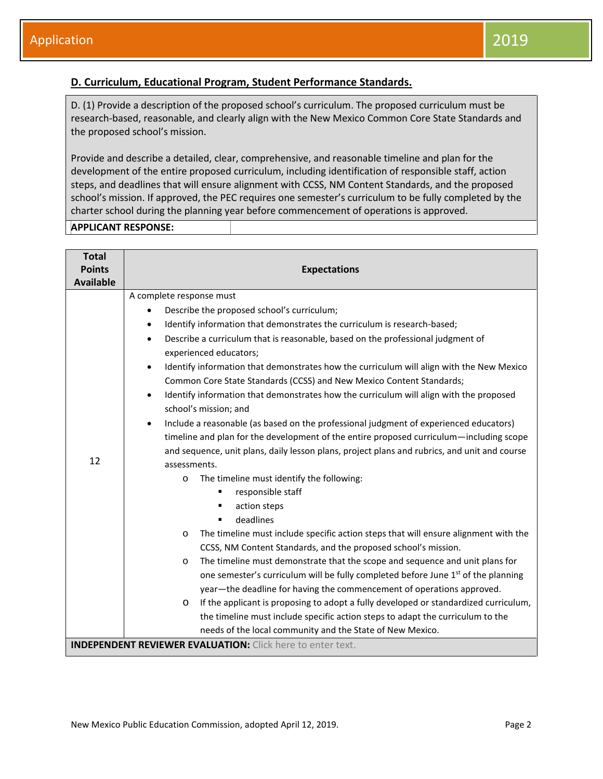## **D. Curriculum, Educational Program, Student Performance Standards.**

D. (1) Provide a description of the proposed school's curriculum. The proposed curriculum must be research-based, reasonable, and clearly align with the New Mexico Common Core State Standards and the proposed school's mission.

Provide and describe a detailed, clear, comprehensive, and reasonable timeline and plan for the development of the entire proposed curriculum, including identification of responsible staff, action steps, and deadlines that will ensure alignment with CCSS, NM Content Standards, and the proposed school's mission. If approved, the PEC requires one semester's curriculum to be fully completed by the charter school during the planning year before commencement of operations is approved.

|  | <b>APPLICANT RESPONSE:</b> |
|--|----------------------------|
|--|----------------------------|

| <b>Total</b>                                                      |                                                                                                       |  |  |  |
|-------------------------------------------------------------------|-------------------------------------------------------------------------------------------------------|--|--|--|
| <b>Points</b>                                                     | <b>Expectations</b>                                                                                   |  |  |  |
| <b>Available</b>                                                  |                                                                                                       |  |  |  |
|                                                                   | A complete response must                                                                              |  |  |  |
|                                                                   | Describe the proposed school's curriculum;                                                            |  |  |  |
|                                                                   | Identify information that demonstrates the curriculum is research-based;<br>$\bullet$                 |  |  |  |
|                                                                   | Describe a curriculum that is reasonable, based on the professional judgment of<br>$\bullet$          |  |  |  |
|                                                                   | experienced educators;                                                                                |  |  |  |
|                                                                   | Identify information that demonstrates how the curriculum will align with the New Mexico<br>$\bullet$ |  |  |  |
|                                                                   | Common Core State Standards (CCSS) and New Mexico Content Standards;                                  |  |  |  |
|                                                                   | Identify information that demonstrates how the curriculum will align with the proposed<br>$\bullet$   |  |  |  |
|                                                                   | school's mission; and                                                                                 |  |  |  |
|                                                                   | Include a reasonable (as based on the professional judgment of experienced educators)<br>$\bullet$    |  |  |  |
|                                                                   | timeline and plan for the development of the entire proposed curriculum—including scope               |  |  |  |
|                                                                   | and sequence, unit plans, daily lesson plans, project plans and rubrics, and unit and course          |  |  |  |
| 12                                                                | assessments.                                                                                          |  |  |  |
|                                                                   | The timeline must identify the following:<br>$\circ$                                                  |  |  |  |
|                                                                   | responsible staff<br>٠                                                                                |  |  |  |
|                                                                   | action steps<br>٠                                                                                     |  |  |  |
|                                                                   | deadlines<br>٠                                                                                        |  |  |  |
|                                                                   | The timeline must include specific action steps that will ensure alignment with the<br>$\circ$        |  |  |  |
|                                                                   | CCSS, NM Content Standards, and the proposed school's mission.                                        |  |  |  |
|                                                                   | The timeline must demonstrate that the scope and sequence and unit plans for<br>$\circ$               |  |  |  |
|                                                                   | one semester's curriculum will be fully completed before June 1 <sup>st</sup> of the planning         |  |  |  |
|                                                                   | year-the deadline for having the commencement of operations approved.                                 |  |  |  |
|                                                                   | If the applicant is proposing to adopt a fully developed or standardized curriculum,<br>$\circ$       |  |  |  |
|                                                                   | the timeline must include specific action steps to adapt the curriculum to the                        |  |  |  |
|                                                                   | needs of the local community and the State of New Mexico.                                             |  |  |  |
| <b>INDEPENDENT REVIEWER EVALUATION:</b> Click here to enter text. |                                                                                                       |  |  |  |